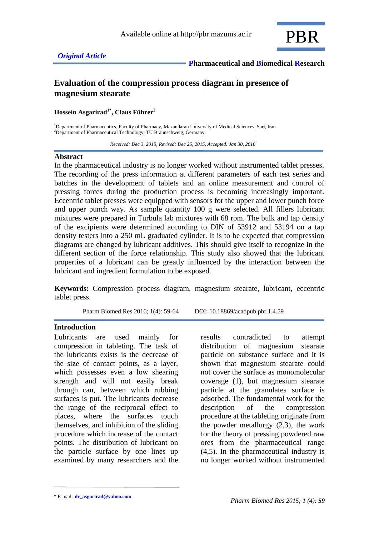

# **Evaluation of the compression process diagram in presence of magnesium stearate**

**Hossein Asgarirad1\* , Claus Führer<sup>2</sup>**

**<sup>1</sup>**Department of Pharmaceutics, Faculty of Pharmacy, Mazandaran University of Medical Sciences, Sari, Iran <sup>2</sup>Department of Pharmaceutical Technology, TU Braunschweig, Germany

 *Received: Dec 3, 2015, Revised: Dec 25, 2015, Accepted: Jan 30, 2016*

### **Abstract**

In the pharmaceutical industry is no longer worked without instrumented tablet presses. The recording of the press information at different parameters of each test series and batches in the development of tablets and an online measurement and control of pressing forces during the production process is becoming increasingly important. Eccentric tablet presses were equipped with sensors for the upper and lower punch force and upper punch way. As sample quantity 100 g were selected. All fillers lubricant mixtures were prepared in Turbula lab mixtures with 68 rpm. The bulk and tap density of the excipients were determined according to DIN of 53912 and 53194 on a tap density testers into a 250 mL graduated cylinder. It is to be expected that compression diagrams are changed by lubricant additives. This should give itself to recognize in the different section of the force relationship. This study also showed that the lubricant properties of a lubricant can be greatly influenced by the interaction between the lubricant and ingredient formulation to be exposed.

**Keywords:** Compression process diagram, magnesium stearate, lubricant, eccentric tablet press.

Pharm Biomed Res 2016; 1(4): 59-64 DOI: 10.18869/acadpub.pbr.1.4.59

### **Introduction**

Lubricants are used mainly for compression in tableting. The task of the lubricants exists is the decrease of the size of contact points, as a layer, which possesses even a low shearing strength and will not easily break through can, between which rubbing surfaces is put. The lubricants decrease the range of the reciprocal effect to places, where the surfaces touch themselves, and inhibition of the sliding procedure which increase of the contact points. The distribution of lubricant on the particle surface by one lines up examined by many researchers and the results contradicted to attempt distribution of magnesium stearate particle on substance surface and it is shown that magnesium stearate could not cover the surface as monomolecular coverage (1), but magnesium stearate particle at the granulates surface is adsorbed. The fundamental work for the description of the compression procedure at the tableting originate from the powder metallurgy (2,3), the work for the theory of pressing powdered raw ores from the pharmaceutical range (4,5). In the pharmaceutical industry is no longer worked without instrumented

<sup>\*</sup> E-mail: **dr\_asgarirad@yahoo.com**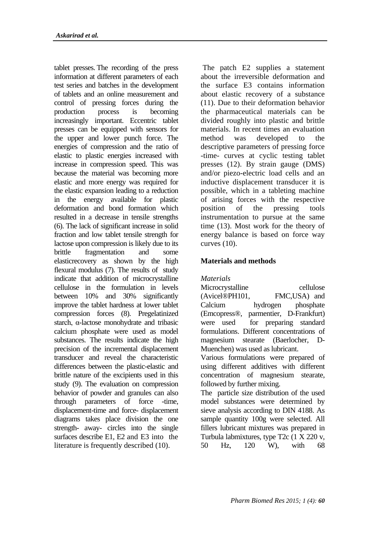tablet presses. The recording of the press information at different parameters of each test series and batches in the development of tablets and an online measurement and control of pressing forces during the production process is becoming increasingly important. Eccentric tablet presses can be equipped with sensors for the upper and lower punch force. The energies of compression and the ratio of elastic to plastic energies increased with increase in compression speed. This was because the material was becoming more elastic and more energy was required for the elastic expansion leading to a reduction in the energy available for plastic deformation and bond formation which resulted in a decrease in tensile strengths (6). The lack of significant increase in solid fraction and low tablet tensile strength for lactose upon compression is likely due to its brittle fragmentation and some elasticrecovery as shown by the high flexural modulus (7). The results of study indicate that addition of microcrystalline cellulose in the formulation in levels between 10% and 30% significantly improve the tablet hardness at lower tablet compression forces (8). Pregelatinized starch, α-lactose monohydrate and tribasic calcium phosphate were used as model substances. The results indicate the high precision of the incremental displacement transducer and reveal the characteristic differences between the plastic-elastic and brittle nature of the excipients used in this study (9). The evaluation on compression behavior of powder and granules can also through parameters of force -time, displacement-time and force- displacement diagrams takes place division the one strength- away- circles into the single surfaces describe E1, E2 and E3 into the literature is frequently described (10).

The patch E2 supplies a statement about the irreversible deformation and the surface E3 contains information about elastic recovery of a substance (11). Due to their deformation behavior the pharmaceutical materials can be divided roughly into plastic and brittle materials. In recent times an evaluation method was developed to the descriptive parameters of pressing force -time- curves at cyclic testing tablet presses (12). By strain gauge (DMS) and/or piezo-electric load cells and an inductive displacement transducer it is possible, which in a tableting machine of arising forces with the respective position of the pressing tools instrumentation to pursue at the same time (13). Most work for the theory of energy balance is based on force way curves (10).

## **Materials and methods**

*Materials*

Microcrystalline cellulose (Avicel®PH101, FMC,USA) and Calcium hydrogen phosphate (Emcopress®, parmentier, D-Frankfurt) were used for preparing standard formulations. Different concentrations of magnesium stearate (Baerlocher, D-Muenchen) was used as lubricant.

Various formulations were prepared of using different additives with different concentration of magnesium stearate, followed by further mixing.

The particle size distribution of the used model substances were determined by sieve analysis according to DIN 4188. As sample quantity 100g were selected. All fillers lubricant mixtures was prepared in Turbula labmixtures, type T2c (1 X 220 v, 50 Hz, 120 W), with 68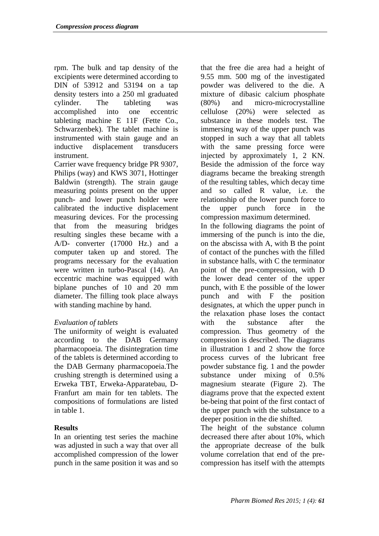rpm. The bulk and tap density of the excipients were determined according to DIN of 53912 and 53194 on a tap density testers into a 250 ml graduated cylinder. The tableting was accomplished into one eccentric tableting machine E 11F (Fette Co., Schwarzenbek). The tablet machine is instrumented with stain gauge and an inductive displacement transducers instrument.

Carrier wave frequency bridge PR 9307, Philips (way) and KWS 3071, Hottinger Baldwin (strength). The strain gauge measuring points present on the upper punch- and lower punch holder were calibrated the inductive displacement measuring devices. For the processing that from the measuring bridges resulting singles these became with a A/D- converter (17000 Hz.) and a computer taken up and stored. The programs necessary for the evaluation were written in turbo-Pascal (14). An eccentric machine was equipped with biplane punches of 10 and 20 mm diameter. The filling took place always with standing machine by hand.

# *Evaluation of tablets*

The uniformity of weight is evaluated according to the DAB Germany pharmacopoeia. The disintegration time of the tablets is determined according to the DAB Germany pharmacopoeia.The crushing strength is determined using a Erweka TBT, Erweka-Apparatebau, D-Franfurt am main for ten tablets. The compositions of formulations are listed in table 1.

### **Results**

In an orienting test series the machine was adjusted in such a way that over all accomplished compression of the lower punch in the same position it was and so

that the free die area had a height of 9.55 mm. 500 mg of the investigated powder was delivered to the die. A mixture of dibasic calcium phosphate (80%) and micro-microcrystalline cellulose (20%) were selected as substance in these models test. The immersing way of the upper punch was stopped in such a way that all tablets with the same pressing force were injected by approximately 1, 2 KN. Beside the admission of the force way diagrams became the breaking strength of the resulting tables, which decay time and so called R value, i.e. the relationship of the lower punch force to the upper punch force in the compression maximum determined. In the following diagrams the point of immersing of the punch is into the die, on the abscissa with A, with B the point of contact of the punches with the filled in substance halls, with C the terminator point of the pre-compression, with D the lower dead center of the upper punch, with E the possible of the lower punch and with F the position designates, at which the upper punch in the relaxation phase loses the contact with the substance after the compression. Thus geometry of the compression is described. The diagrams in illustration 1 and 2 show the force process curves of the lubricant free powder substance fig. 1 and the powder substance under mixing of 0.5% magnesium stearate (Figure 2). The diagrams prove that the expected extent be-being that point of the first contact of the upper punch with the substance to a deeper position in the die shifted.

The height of the substance column decreased there after about 10%, which the appropriate decrease of the bulk volume correlation that end of the precompression has itself with the attempts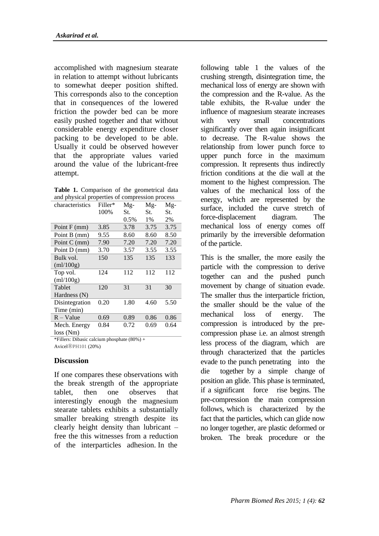accomplished with magnesium stearate in relation to attempt without lubricants to somewhat deeper position shifted. This corresponds also to the conception that in consequences of the lowered friction the powder bed can be more easily pushed together and that without considerable energy expenditure closer packing to be developed to be able. Usually it could be observed however that the appropriate values varied around the value of the lubricant-free attempt.

|  |  | Table 1. Comparison of the geometrical data    |  |
|--|--|------------------------------------------------|--|
|  |  | and physical properties of compression process |  |

| characteristics | Filler* | Mg-  | $Mg-$ | Mg-  |  |
|-----------------|---------|------|-------|------|--|
|                 | 100%    | St.  | St.   | St.  |  |
|                 |         | 0.5% | 1%    | 2%   |  |
| Point F (mm)    | 3.85    | 3.78 | 3.75  | 3.75 |  |
| Point B (mm)    | 9.55    | 8.60 | 8.60  | 8.50 |  |
| Point C (mm)    | 7.90    | 7.20 | 7.20  | 7.20 |  |
| Point D (mm)    | 3.70    | 3.57 | 3.55  | 3.55 |  |
| Bulk vol.       | 150     | 135  | 135   | 133  |  |
| (m!/100g)       |         |      |       |      |  |
| Top vol.        | 124     | 112  | 112   | 112  |  |
| m!/100g         |         |      |       |      |  |
| Tablet          | 120     | 31   | 31    | 30   |  |
| Hardness $(N)$  |         |      |       |      |  |
| Disintegration  | 0.20    | 1.80 | 4.60  | 5.50 |  |
| Time (min)      |         |      |       |      |  |
| $R - Value$     | 0.69    | 0.89 | 0.86  | 0.86 |  |
| Mech. Energy    | 0.84    | 0.72 | 0.69  | 0.64 |  |
| loss(Nm)        |         |      |       |      |  |

\*Fillers: Dibasic calcium phosphate  $(80%) +$ Avicel®PH101 (20%)

#### **Discussion**

If one compares these observations with the break strength of the appropriate tablet, then one observes that interestingly enough the magnesium stearate tablets exhibits a substantially smaller breaking strength despite its clearly height density than lubricant – free the this witnesses from a reduction of the interparticles adhesion. In the

following table 1 the values of the crushing strength, disintegration time, the mechanical loss of energy are shown with the compression and the R-value. As the table exhibits, the R-value under the influence of magnesium stearate increases with very small concentrations significantly over then again insignificant to decrease. The R-value shows the relationship from lower punch force to upper punch force in the maximum compression. It represents thus indirectly friction conditions at the die wall at the moment to the highest compression. The values of the mechanical loss of the energy, which are represented by the surface, included the curve stretch of force-displacement diagram. The mechanical loss of energy comes off primarily by the irreversible deformation of the particle.

This is the smaller, the more easily the particle with the compression to derive together can and the pushed punch movement by change of situation evade. The smaller thus the interparticle friction, the smaller should be the value of the mechanical loss of energy. The compression is introduced by the precompression phase i.e. an almost strength less process of the diagram, which are through characterized that the particles evade to the punch penetrating into the die together by a simple change of position an glide. This phase is terminated, if a significant force rise begins. The pre-compression the main compression follows, which is characterized by the fact that the particles, which can glide now no longer together, are plastic deformed or broken. The break procedure or the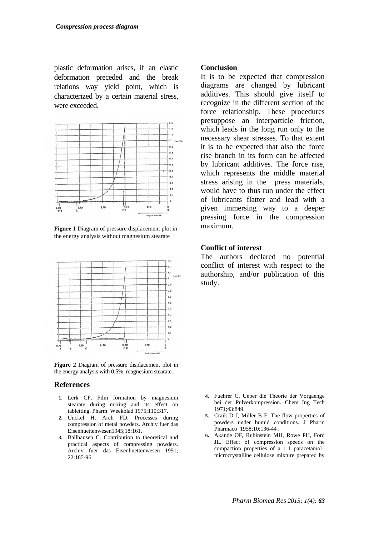plastic deformation arises, if an elastic deformation preceded and the break relations way yield point, which is characterized by a certain material stress, were exceeded.



**Figure 1** Diagram of pressure displacement plot in the energy analysis without magnesium stearate



**Figure 2** Diagram of pressure displacement plot in the energy analysis with 0.5% magnesium stearate.

#### **References**

- **1.** Lerk CF. Film formation by magnesium stearate during mixing and its effect on tabletting. Pharm Weekblad 1975;110:317.
- **2.** Unckel H, Arch FD. Processes during compression of metal powders. Archiv fuer das Eisenhuettenwesen1945;18:161.
- **3.** Ballhausen C. Contribution to theoretical and practical aspects of compressing powders. Archiv fuer das Eisenhuettenwesen 1951; 22:185-96.

#### **Conclusion**

It is to be expected that compression diagrams are changed by lubricant additives. This should give itself to recognize in the different section of the force relationship. These procedures presuppose an interparticle friction, which leads in the long run only to the necessary shear stresses. To that extent it is to be expected that also the force rise branch in its form can be affected by lubricant additives. The force rise, which represents the middle material stress arising in the press materials, would have to thus run under the effect of lubricants flatter and lead with a given immersing way to a deeper pressing force in the compression maximum.

### **Conflict of interest**

The authors declared no potential conflict of interest with respect to the authorship, and/or publication of this study.

- **4.** Fuehrer C. Ueber die Theorie der Vorgaenge bei der Pulverkompression. Chem Ing Tech 1971;43:849.
- **5.** Craik D J, Miller B F. The flow properties of powders under humid conditions. J Pharm Pharmaco 1958;10:136-44 .
- **6.** Akande OF, Rubinstein MH, Rowe PH, Ford JL. Effect of compression speeds on the compaction properties of a 1:1 paracetamol– microcrystalline cellulose mixture prepared by